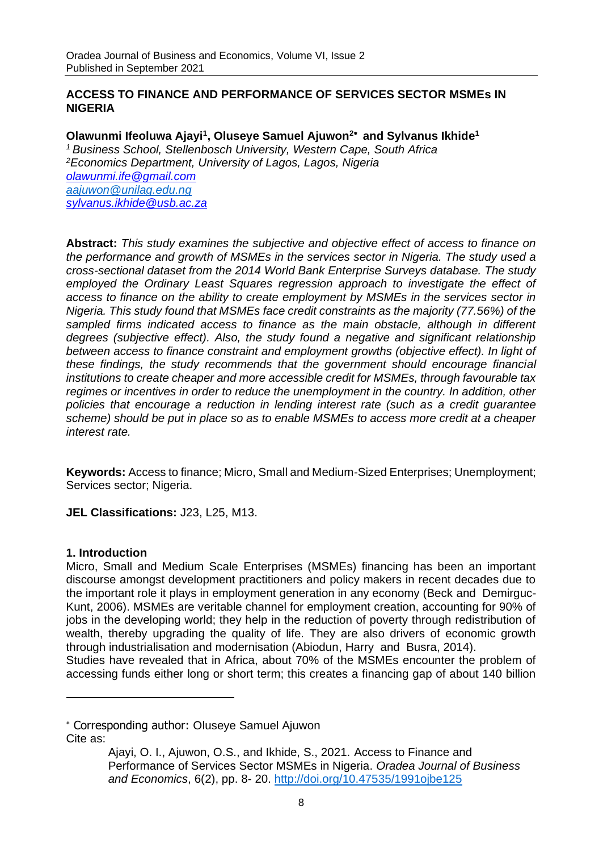#### **ACCESS TO FINANCE AND PERFORMANCE OF SERVICES SECTOR MSMEs IN NIGERIA**

**Olawunmi Ifeoluwa Ajayi<sup>1</sup> , Oluseye Samuel Ajuwon<sup>2</sup> and Sylvanus Ikhide<sup>1</sup>** *<sup>1</sup> Business School, Stellenbosch University, Western Cape, South Africa <sup>2</sup>Economics Department, University of Lagos, Lagos, Nigeria olawunmi.ife@gmail.com [aajuwon@unilag.edu.ng](mailto:aajuwon@unilag.edu.ng) [sylvanus.ikhide@usb.ac.za](mailto:Michael.Graham@usb.ac.za)*

**Abstract:** *This study examines the subjective and objective effect of access to finance on the performance and growth of MSMEs in the services sector in Nigeria. The study used a cross-sectional dataset from the 2014 World Bank Enterprise Surveys database. The study*  employed the Ordinary Least Squares regression approach to investigate the effect of *access to finance on the ability to create employment by MSMEs in the services sector in Nigeria. This study found that MSMEs face credit constraints as the majority (77.56%) of the*  sampled firms indicated access to finance as the main obstacle, although in different *degrees (subjective effect). Also, the study found a negative and significant relationship*  between access to finance constraint and employment growths (objective effect). In light of *these findings, the study recommends that the government should encourage financial institutions to create cheaper and more accessible credit for MSMEs, through favourable tax*  regimes or incentives in order to reduce the unemployment in the country. In addition, other *policies that encourage a reduction in lending interest rate (such as a credit guarantee scheme) should be put in place so as to enable MSMEs to access more credit at a cheaper interest rate.*

**Keywords:** Access to finance; Micro, Small and Medium-Sized Enterprises; Unemployment; Services sector; Nigeria.

**JEL Classifications:** J23, L25, M13.

#### **1. Introduction**

Micro, Small and Medium Scale Enterprises (MSMEs) financing has been an important discourse amongst development practitioners and policy makers in recent decades due to the important role it plays in employment generation in any economy (Beck and Demirguc-Kunt, 2006). MSMEs are veritable channel for employment creation, accounting for 90% of jobs in the developing world; they help in the reduction of poverty through redistribution of wealth, thereby upgrading the quality of life. They are also drivers of economic growth through industrialisation and modernisation (Abiodun, Harry and Busra, 2014). Studies have revealed that in Africa, about 70% of the MSMEs encounter the problem of accessing funds either long or short term; this creates a financing gap of about 140 billion

 Corresponding author: Oluseye Samuel Ajuwon Cite as:

Ajayi, O. I., Ajuwon, O.S., and Ikhide, S., 2021. Access to Finance and Performance of Services Sector MSMEs in Nigeria. *Oradea Journal of Business and Economics*, 6(2), pp. 8- 20.<http://doi.org/10.47535/1991ojbe125>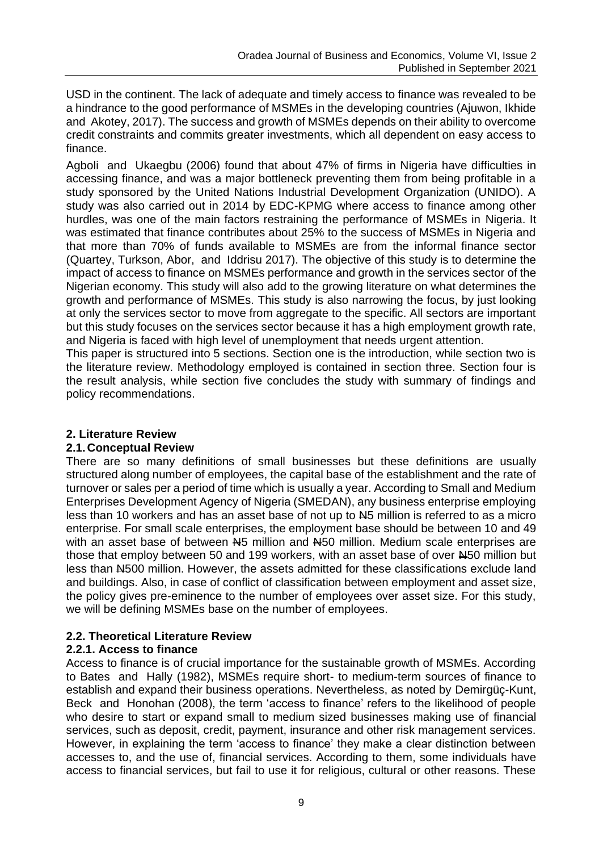USD in the continent. The lack of adequate and timely access to finance was revealed to be a hindrance to the good performance of MSMEs in the developing countries (Ajuwon, Ikhide and Akotey, 2017). The success and growth of MSMEs depends on their ability to overcome credit constraints and commits greater investments, which all dependent on easy access to finance.

Agboli and Ukaegbu (2006) found that about 47% of firms in Nigeria have difficulties in accessing finance, and was a major bottleneck preventing them from being profitable in a study sponsored by the United Nations Industrial Development Organization (UNIDO). A study was also carried out in 2014 by EDC-KPMG where access to finance among other hurdles, was one of the main factors restraining the performance of MSMEs in Nigeria. It was estimated that finance contributes about 25% to the success of MSMEs in Nigeria and that more than 70% of funds available to MSMEs are from the informal finance sector (Quartey, Turkson, Abor, and Iddrisu 2017). The objective of this study is to determine the impact of access to finance on MSMEs performance and growth in the services sector of the Nigerian economy. This study will also add to the growing literature on what determines the growth and performance of MSMEs. This study is also narrowing the focus, by just looking at only the services sector to move from aggregate to the specific. All sectors are important but this study focuses on the services sector because it has a high employment growth rate, and Nigeria is faced with high level of unemployment that needs urgent attention.

This paper is structured into 5 sections. Section one is the introduction, while section two is the literature review. Methodology employed is contained in section three. Section four is the result analysis, while section five concludes the study with summary of findings and policy recommendations.

## **2. Literature Review**

# **2.1. Conceptual Review**

There are so many definitions of small businesses but these definitions are usually structured along number of employees, the capital base of the establishment and the rate of turnover or sales per a period of time which is usually a year. According to Small and Medium Enterprises Development Agency of Nigeria (SMEDAN), any business enterprise employing less than 10 workers and has an asset base of not up to  $\mu$ 5 million is referred to as a micro enterprise. For small scale enterprises, the employment base should be between 10 and 49 with an asset base of between N5 million and N50 million. Medium scale enterprises are those that employ between 50 and 199 workers, with an asset base of over N50 million but less than N500 million. However, the assets admitted for these classifications exclude land and buildings. Also, in case of conflict of classification between employment and asset size, the policy gives pre-eminence to the number of employees over asset size. For this study, we will be defining MSMEs base on the number of employees.

# **2.2. Theoretical Literature Review**

# **2.2.1. Access to finance**

Access to finance is of crucial importance for the sustainable growth of MSMEs. According to Bates and Hally (1982), MSMEs require short- to medium-term sources of finance to establish and expand their business operations. Nevertheless, as noted by Demirgüç-Kunt, Beck and Honohan (2008), the term 'access to finance' refers to the likelihood of people who desire to start or expand small to medium sized businesses making use of financial services, such as deposit, credit, payment, insurance and other risk management services. However, in explaining the term 'access to finance' they make a clear distinction between accesses to, and the use of, financial services. According to them, some individuals have access to financial services, but fail to use it for religious, cultural or other reasons. These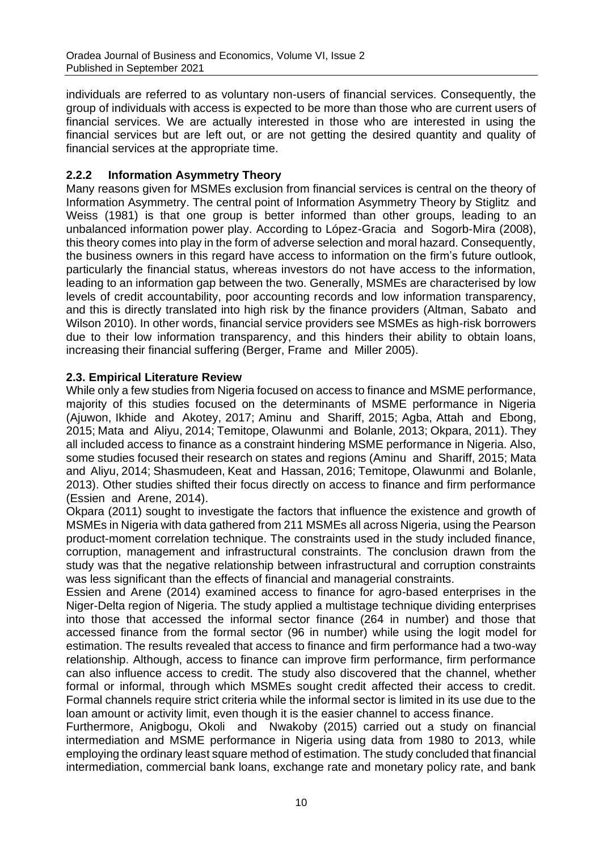individuals are referred to as voluntary non-users of financial services. Consequently, the group of individuals with access is expected to be more than those who are current users of financial services. We are actually interested in those who are interested in using the financial services but are left out, or are not getting the desired quantity and quality of financial services at the appropriate time.

# **2.2.2 Information Asymmetry Theory**

Many reasons given for MSMEs exclusion from financial services is central on the theory of Information Asymmetry. The central point of Information Asymmetry Theory by Stiglitz and Weiss (1981) is that one group is better informed than other groups, leading to an unbalanced information power play. According to López-Gracia and Sogorb-Mira (2008), this theory comes into play in the form of adverse selection and moral hazard. Consequently, the business owners in this regard have access to information on the firm's future outlook, particularly the financial status, whereas investors do not have access to the information, leading to an information gap between the two. Generally, MSMEs are characterised by low levels of credit accountability, poor accounting records and low information transparency, and this is directly translated into high risk by the finance providers (Altman, Sabato and Wilson 2010). In other words, financial service providers see MSMEs as high-risk borrowers due to their low information transparency, and this hinders their ability to obtain loans, increasing their financial suffering (Berger, Frame and Miller 2005).

## **2.3. Empirical Literature Review**

While only a few studies from Nigeria focused on access to finance and MSME performance, majority of this studies focused on the determinants of MSME performance in Nigeria (Ajuwon, Ikhide and Akotey, 2017; Aminu and Shariff, 2015; Agba, Attah and Ebong, 2015; Mata and Aliyu, 2014; Temitope, Olawunmi and Bolanle, 2013; Okpara, 2011). They all included access to finance as a constraint hindering MSME performance in Nigeria. Also, some studies focused their research on states and regions (Aminu and Shariff, 2015; Mata and Aliyu, 2014; Shasmudeen, Keat and Hassan, 2016; Temitope, Olawunmi and Bolanle, 2013). Other studies shifted their focus directly on access to finance and firm performance (Essien and Arene, 2014).

Okpara (2011) sought to investigate the factors that influence the existence and growth of MSMEs in Nigeria with data gathered from 211 MSMEs all across Nigeria, using the Pearson product-moment correlation technique. The constraints used in the study included finance, corruption, management and infrastructural constraints. The conclusion drawn from the study was that the negative relationship between infrastructural and corruption constraints was less significant than the effects of financial and managerial constraints.

Essien and Arene (2014) examined access to finance for agro-based enterprises in the Niger-Delta region of Nigeria. The study applied a multistage technique dividing enterprises into those that accessed the informal sector finance (264 in number) and those that accessed finance from the formal sector (96 in number) while using the logit model for estimation. The results revealed that access to finance and firm performance had a two-way relationship. Although, access to finance can improve firm performance, firm performance can also influence access to credit. The study also discovered that the channel, whether formal or informal, through which MSMEs sought credit affected their access to credit. Formal channels require strict criteria while the informal sector is limited in its use due to the loan amount or activity limit, even though it is the easier channel to access finance.

Furthermore, Anigbogu, Okoli and Nwakoby (2015) carried out a study on financial intermediation and MSME performance in Nigeria using data from 1980 to 2013, while employing the ordinary least square method of estimation. The study concluded that financial intermediation, commercial bank loans, exchange rate and monetary policy rate, and bank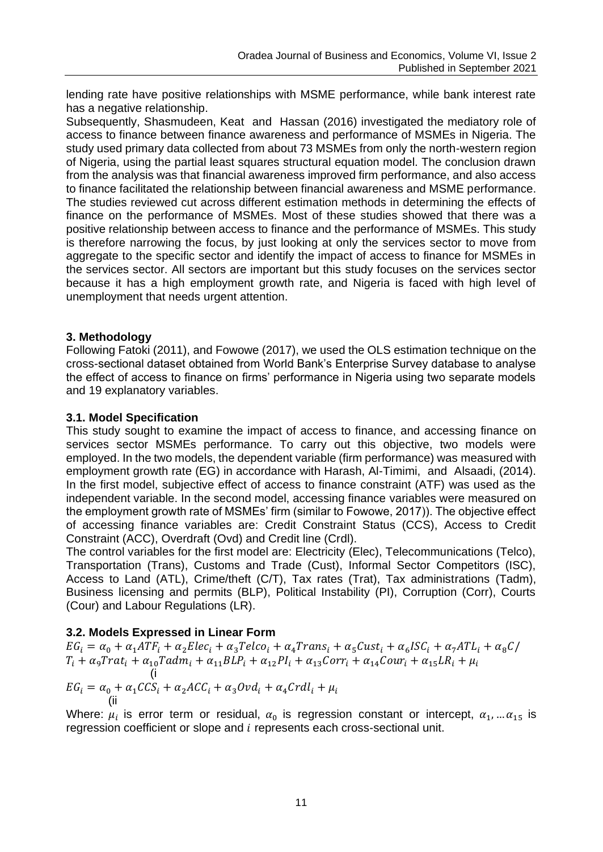lending rate have positive relationships with MSME performance, while bank interest rate has a negative relationship.

Subsequently, Shasmudeen, Keat and Hassan (2016) investigated the mediatory role of access to finance between finance awareness and performance of MSMEs in Nigeria. The study used primary data collected from about 73 MSMEs from only the north-western region of Nigeria, using the partial least squares structural equation model. The conclusion drawn from the analysis was that financial awareness improved firm performance, and also access to finance facilitated the relationship between financial awareness and MSME performance. The studies reviewed cut across different estimation methods in determining the effects of finance on the performance of MSMEs. Most of these studies showed that there was a positive relationship between access to finance and the performance of MSMEs. This study is therefore narrowing the focus, by just looking at only the services sector to move from aggregate to the specific sector and identify the impact of access to finance for MSMEs in the services sector. All sectors are important but this study focuses on the services sector because it has a high employment growth rate, and Nigeria is faced with high level of unemployment that needs urgent attention.

## **3. Methodology**

Following Fatoki (2011), and Fowowe (2017), we used the OLS estimation technique on the cross-sectional dataset obtained from World Bank's Enterprise Survey database to analyse the effect of access to finance on firms' performance in Nigeria using two separate models and 19 explanatory variables.

## **3.1. Model Specification**

This study sought to examine the impact of access to finance, and accessing finance on services sector MSMEs performance. To carry out this objective, two models were employed. In the two models, the dependent variable (firm performance) was measured with employment growth rate (EG) in accordance with Harash, Al-Timimi, and Alsaadi, (2014). In the first model, subjective effect of access to finance constraint (ATF) was used as the independent variable. In the second model, accessing finance variables were measured on the employment growth rate of MSMEs' firm (similar to Fowowe, 2017)). The objective effect of accessing finance variables are: Credit Constraint Status (CCS), Access to Credit Constraint (ACC), Overdraft (Ovd) and Credit line (Crdl).

The control variables for the first model are: Electricity (Elec), Telecommunications (Telco), Transportation (Trans), Customs and Trade (Cust), Informal Sector Competitors (ISC), Access to Land (ATL), Crime/theft (C/T), Tax rates (Trat), Tax administrations (Tadm), Business licensing and permits (BLP), Political Instability (PI), Corruption (Corr), Courts (Cour) and Labour Regulations (LR).

# **3.2. Models Expressed in Linear Form**

 $EG_i = \alpha_0 + \alpha_1 ATF_i + \alpha_2 Elec_i + \alpha_3 Telco_i + \alpha_4 Trans_i + \alpha_5 Cust_i + \alpha_6 ISC_i + \alpha_7 ATL_i + \alpha_8 C/C_i$  $T_i + \alpha_9 Trat_i + \alpha_{10} Tadm_i + \alpha_{11} BLP_i + \alpha_{12} PI_i + \alpha_{13} Corr_i + \alpha_{14} Cour_i + \alpha_{15} LR_i + \mu_i$ (i  $EG_i = \alpha_0 + \alpha_1 CCS_i + \alpha_2 ACC_i + \alpha_3 Ovd_i + \alpha_4 Crdl_i + \mu_i$ (ii

Where:  $\mu_i$  is error term or residual,  $\alpha_0$  is regression constant or intercept,  $\alpha_1,...\alpha_{15}$  is regression coefficient or slope and  $i$  represents each cross-sectional unit.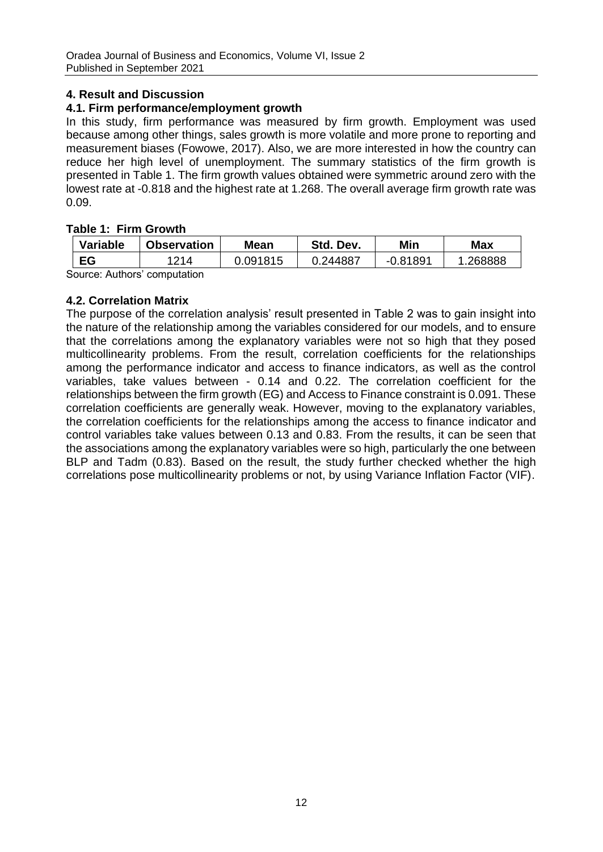## **4. Result and Discussion**

# **4.1. Firm performance/employment growth**

In this study, firm performance was measured by firm growth. Employment was used because among other things, sales growth is more volatile and more prone to reporting and measurement biases (Fowowe, 2017). Also, we are more interested in how the country can reduce her high level of unemployment. The summary statistics of the firm growth is presented in Table 1. The firm growth values obtained were symmetric around zero with the lowest rate at -0.818 and the highest rate at 1.268. The overall average firm growth rate was 0.09.

#### **Table 1: Firm Growth**

| Variable | <b>Observation</b> | Mean     | Std. Dev. | Min      | Max     |  |  |  |
|----------|--------------------|----------|-----------|----------|---------|--|--|--|
| EG       | 1214               | 0.091815 | 0.244887  | -0.81891 | .268888 |  |  |  |
|          |                    |          |           |          |         |  |  |  |

Source: Authors' computation

## **4.2. Correlation Matrix**

The purpose of the correlation analysis' result presented in Table 2 was to gain insight into the nature of the relationship among the variables considered for our models, and to ensure that the correlations among the explanatory variables were not so high that they posed multicollinearity problems. From the result, correlation coefficients for the relationships among the performance indicator and access to finance indicators, as well as the control variables, take values between - 0.14 and 0.22. The correlation coefficient for the relationships between the firm growth (EG) and Access to Finance constraint is 0.091. These correlation coefficients are generally weak. However, moving to the explanatory variables, the correlation coefficients for the relationships among the access to finance indicator and control variables take values between 0.13 and 0.83. From the results, it can be seen that the associations among the explanatory variables were so high, particularly the one between BLP and Tadm (0.83). Based on the result, the study further checked whether the high correlations pose multicollinearity problems or not, by using Variance Inflation Factor (VIF).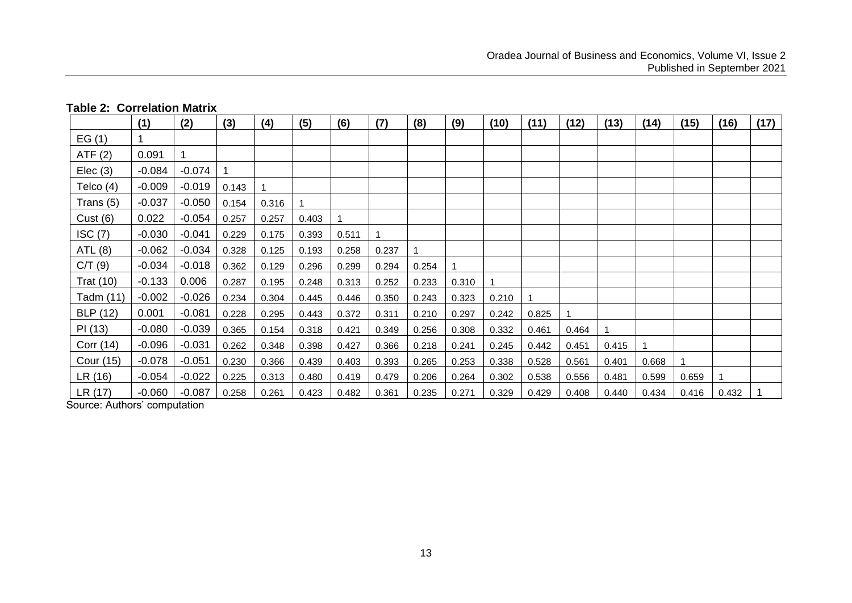|                  | (1)      | (2)      | (3)   | (4)   | (5)   | (6)   | (7)   | (8)   | (9)   | (10)  | (11)  | (12)  | (13)  | (14)  | (15)  | (16)  | (17) |
|------------------|----------|----------|-------|-------|-------|-------|-------|-------|-------|-------|-------|-------|-------|-------|-------|-------|------|
| EG(1)            |          |          |       |       |       |       |       |       |       |       |       |       |       |       |       |       |      |
| ATF(2)           | 0.091    |          |       |       |       |       |       |       |       |       |       |       |       |       |       |       |      |
| Elec(3)          | $-0.084$ | $-0.074$ |       |       |       |       |       |       |       |       |       |       |       |       |       |       |      |
| Telco (4)        | $-0.009$ | $-0.019$ | 0.143 |       |       |       |       |       |       |       |       |       |       |       |       |       |      |
| Trans (5)        | $-0.037$ | $-0.050$ | 0.154 | 0.316 |       |       |       |       |       |       |       |       |       |       |       |       |      |
| Cust (6)         | 0.022    | $-0.054$ | 0.257 | 0.257 | 0.403 |       |       |       |       |       |       |       |       |       |       |       |      |
| ISC(7)           | $-0.030$ | $-0.041$ | 0.229 | 0.175 | 0.393 | 0.511 |       |       |       |       |       |       |       |       |       |       |      |
| ATL (8)          | $-0.062$ | $-0.034$ | 0.328 | 0.125 | 0.193 | 0.258 | 0.237 |       |       |       |       |       |       |       |       |       |      |
| C/T(9)           | $-0.034$ | $-0.018$ | 0.362 | 0.129 | 0.296 | 0.299 | 0.294 | 0.254 |       |       |       |       |       |       |       |       |      |
| <b>Trat (10)</b> | $-0.133$ | 0.006    | 0.287 | 0.195 | 0.248 | 0.313 | 0.252 | 0.233 | 0.310 |       |       |       |       |       |       |       |      |
| Tadm (11)        | $-0.002$ | $-0.026$ | 0.234 | 0.304 | 0.445 | 0.446 | 0.350 | 0.243 | 0.323 | 0.210 |       |       |       |       |       |       |      |
| <b>BLP</b> (12)  | 0.001    | $-0.081$ | 0.228 | 0.295 | 0.443 | 0.372 | 0.311 | 0.210 | 0.297 | 0.242 | 0.825 |       |       |       |       |       |      |
| PI(13)           | $-0.080$ | $-0.039$ | 0.365 | 0.154 | 0.318 | 0.421 | 0.349 | 0.256 | 0.308 | 0.332 | 0.461 | 0.464 |       |       |       |       |      |
| Corr (14)        | $-0.096$ | $-0.031$ | 0.262 | 0.348 | 0.398 | 0.427 | 0.366 | 0.218 | 0.241 | 0.245 | 0.442 | 0.451 | 0.415 |       |       |       |      |
| Cour (15)        | $-0.078$ | $-0.051$ | 0.230 | 0.366 | 0.439 | 0.403 | 0.393 | 0.265 | 0.253 | 0.338 | 0.528 | 0.561 | 0.401 | 0.668 |       |       |      |
| LR (16)          | $-0.054$ | $-0.022$ | 0.225 | 0.313 | 0.480 | 0.419 | 0.479 | 0.206 | 0.264 | 0.302 | 0.538 | 0.556 | 0.481 | 0.599 | 0.659 |       |      |
| LR (17)          | $-0.060$ | $-0.087$ | 0.258 | 0.261 | 0.423 | 0.482 | 0.361 | 0.235 | 0.271 | 0.329 | 0.429 | 0.408 | 0.440 | 0.434 | 0.416 | 0.432 |      |

#### **Table 2: Correlation Matrix**

Source: Authors' computation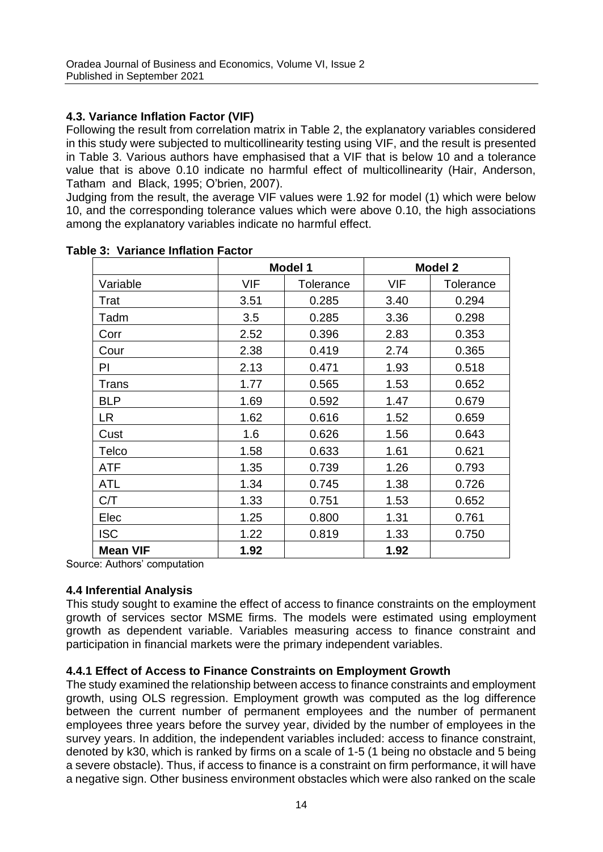## **4.3. Variance Inflation Factor (VIF)**

Following the result from correlation matrix in Table 2, the explanatory variables considered in this study were subjected to multicollinearity testing using VIF, and the result is presented in Table 3. Various authors have emphasised that a VIF that is below 10 and a tolerance value that is above 0.10 indicate no harmful effect of multicollinearity (Hair, Anderson, Tatham and Black, 1995; O'brien, 2007).

Judging from the result, the average VIF values were 1.92 for model (1) which were below 10, and the corresponding tolerance values which were above 0.10, the high associations among the explanatory variables indicate no harmful effect.

|                 |      | Model 1   | Model 2 |           |  |  |
|-----------------|------|-----------|---------|-----------|--|--|
| Variable        | VIF  | Tolerance | VIF     | Tolerance |  |  |
| Trat            | 3.51 | 0.285     | 3.40    | 0.294     |  |  |
| Tadm            | 3.5  | 0.285     | 3.36    | 0.298     |  |  |
| Corr            | 2.52 | 0.396     | 2.83    | 0.353     |  |  |
| Cour            | 2.38 | 0.419     | 2.74    | 0.365     |  |  |
| PI              | 2.13 | 0.471     | 1.93    | 0.518     |  |  |
| Trans           | 1.77 | 0.565     | 1.53    | 0.652     |  |  |
| BLP             | 1.69 | 0.592     | 1.47    | 0.679     |  |  |
| LR.             | 1.62 | 0.616     | 1.52    | 0.659     |  |  |
| Cust            | 1.6  | 0.626     | 1.56    | 0.643     |  |  |
| Telco           | 1.58 | 0.633     | 1.61    | 0.621     |  |  |
| <b>ATF</b>      | 1.35 | 0.739     | 1.26    | 0.793     |  |  |
| ATL             | 1.34 | 0.745     | 1.38    | 0.726     |  |  |
| C/T             | 1.33 | 0.751     | 1.53    | 0.652     |  |  |
| Elec            | 1.25 | 0.800     | 1.31    | 0.761     |  |  |
| ISC             | 1.22 | 0.819     | 1.33    | 0.750     |  |  |
| <b>Mean VIF</b> | 1.92 |           | 1.92    |           |  |  |

## **Table 3: Variance Inflation Factor**

Source: Authors' computation

## **4.4 Inferential Analysis**

This study sought to examine the effect of access to finance constraints on the employment growth of services sector MSME firms. The models were estimated using employment growth as dependent variable. Variables measuring access to finance constraint and participation in financial markets were the primary independent variables.

## **4.4.1 Effect of Access to Finance Constraints on Employment Growth**

The study examined the relationship between access to finance constraints and employment growth, using OLS regression. Employment growth was computed as the log difference between the current number of permanent employees and the number of permanent employees three years before the survey year, divided by the number of employees in the survey years. In addition, the independent variables included: access to finance constraint, denoted by k30, which is ranked by firms on a scale of 1-5 (1 being no obstacle and 5 being a severe obstacle). Thus, if access to finance is a constraint on firm performance, it will have a negative sign. Other business environment obstacles which were also ranked on the scale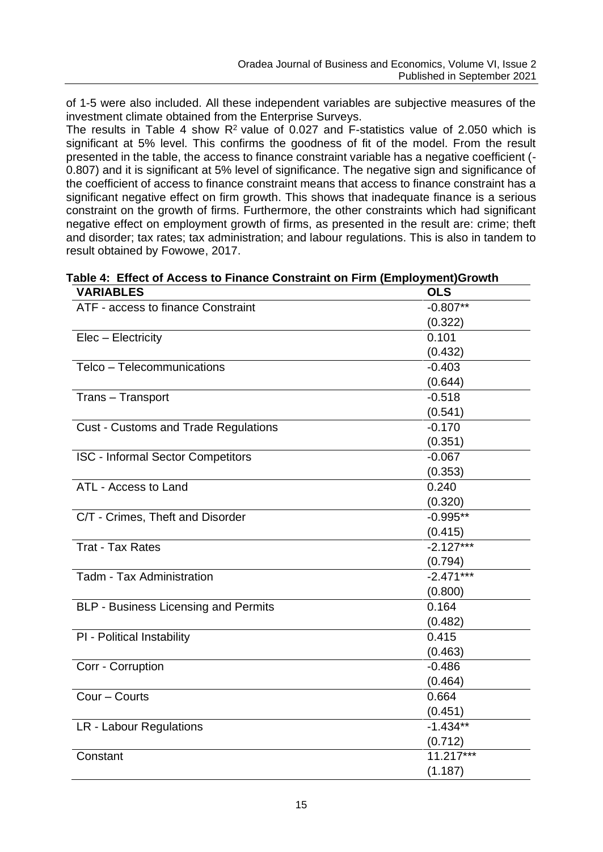of 1-5 were also included. All these independent variables are subjective measures of the investment climate obtained from the Enterprise Surveys.

The results in Table 4 show  $R<sup>2</sup>$  value of 0.027 and F-statistics value of 2.050 which is significant at 5% level. This confirms the goodness of fit of the model. From the result presented in the table, the access to finance constraint variable has a negative coefficient (- 0.807) and it is significant at 5% level of significance. The negative sign and significance of the coefficient of access to finance constraint means that access to finance constraint has a significant negative effect on firm growth. This shows that inadequate finance is a serious constraint on the growth of firms. Furthermore, the other constraints which had significant negative effect on employment growth of firms, as presented in the result are: crime; theft and disorder; tax rates; tax administration; and labour regulations. This is also in tandem to result obtained by Fowowe, 2017.

| <b>VARIABLES</b>                            | <b>OLS</b>  |
|---------------------------------------------|-------------|
| ATF - access to finance Constraint          | $-0.807**$  |
|                                             | (0.322)     |
| Elec - Electricity                          | 0.101       |
|                                             | (0.432)     |
| Telco - Telecommunications                  | $-0.403$    |
|                                             | (0.644)     |
| Trans - Transport                           | $-0.518$    |
|                                             | (0.541)     |
| <b>Cust - Customs and Trade Regulations</b> | $-0.170$    |
|                                             | (0.351)     |
| <b>ISC - Informal Sector Competitors</b>    | $-0.067$    |
|                                             | (0.353)     |
| ATL - Access to Land                        | 0.240       |
|                                             | (0.320)     |
| C/T - Crimes, Theft and Disorder            | $-0.995**$  |
|                                             | (0.415)     |
| <b>Trat - Tax Rates</b>                     | $-2.127***$ |
|                                             | (0.794)     |
| Tadm - Tax Administration                   | $-2.471***$ |
|                                             | (0.800)     |
| <b>BLP - Business Licensing and Permits</b> | 0.164       |
|                                             | (0.482)     |
| PI - Political Instability                  | 0.415       |
|                                             | (0.463)     |
| Corr - Corruption                           | $-0.486$    |
|                                             | (0.464)     |
| Cour - Courts                               | 0.664       |
|                                             | (0.451)     |
| LR - Labour Regulations                     | $-1.434**$  |
|                                             | (0.712)     |
| Constant                                    | 11.217***   |
|                                             | (1.187)     |

**Table 4: Effect of Access to Finance Constraint on Firm (Employment)Growth**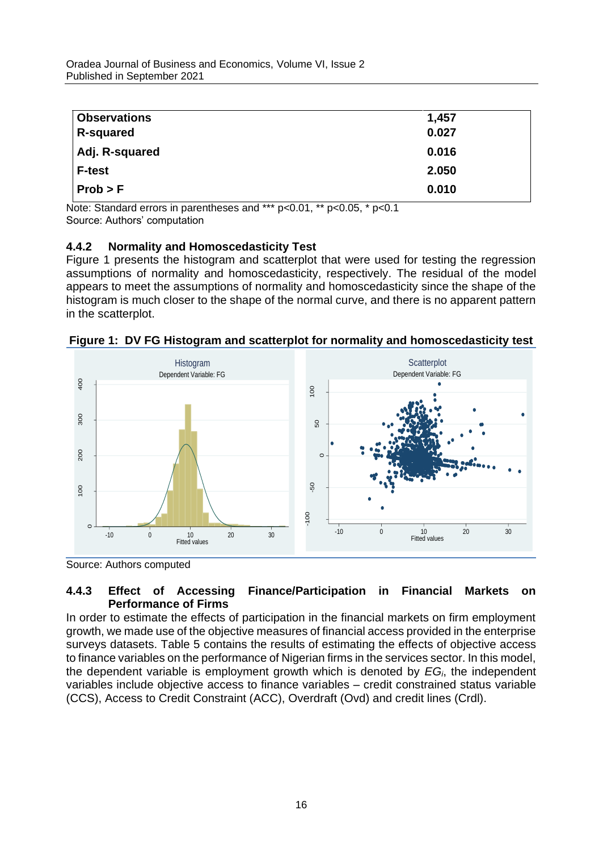| <b>Observations</b> | 1,457 |
|---------------------|-------|
| <b>R-squared</b>    | 0.027 |
| Adj. R-squared      | 0.016 |
| <b>F-test</b>       | 2.050 |
| Prob > F            | 0.010 |

Note: Standard errors in parentheses and \*\*\* p<0.01, \*\* p<0.05, \* p<0.1 Source: Authors' computation

# **4.4.2 Normality and Homoscedasticity Test**

Figure 1 presents the histogram and scatterplot that were used for testing the regression assumptions of normality and homoscedasticity, respectively. The residual of the model appears to meet the assumptions of normality and homoscedasticity since the shape of the histogram is much closer to the shape of the normal curve, and there is no apparent pattern in the scatterplot.



**Figure 1: DV FG Histogram and scatterplot for normality and homoscedasticity test**

Source: Authors computed

# **4.4.3 Effect of Accessing Finance/Participation in Financial Markets on Performance of Firms**

In order to estimate the effects of participation in the financial markets on firm employment growth, we made use of the objective measures of financial access provided in the enterprise surveys datasets. Table 5 contains the results of estimating the effects of objective access to finance variables on the performance of Nigerian firms in the services sector. In this model, the dependent variable is employment growth which is denoted by *EGi*, the independent variables include objective access to finance variables – credit constrained status variable (CCS), Access to Credit Constraint (ACC), Overdraft (Ovd) and credit lines (Crdl).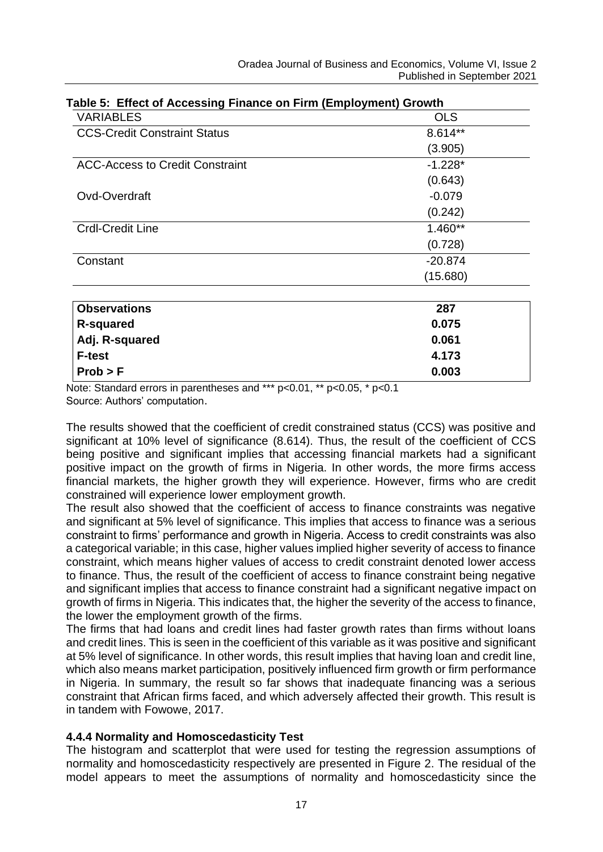| Table 5: Effect of Accessing Finance on Firm (Employment) Growth |            |  |  |  |  |
|------------------------------------------------------------------|------------|--|--|--|--|
| VARIABLES                                                        | <b>OLS</b> |  |  |  |  |
| <b>CCS-Credit Constraint Status</b>                              | $8.614**$  |  |  |  |  |
|                                                                  | (3.905)    |  |  |  |  |
| ACC-Access to Credit Constraint                                  | $-1.228*$  |  |  |  |  |
|                                                                  | (0.643)    |  |  |  |  |
| Ovd-Overdraft                                                    | $-0.079$   |  |  |  |  |
|                                                                  | (0.242)    |  |  |  |  |
| Crdl-Credit Line                                                 | $1.460**$  |  |  |  |  |
|                                                                  | (0.728)    |  |  |  |  |
| Constant                                                         | $-20.874$  |  |  |  |  |
|                                                                  | (15.680)   |  |  |  |  |
| <b>Observations</b>                                              | 287        |  |  |  |  |
| <b>R-squared</b>                                                 | 0.075      |  |  |  |  |
| Adj. R-squared                                                   | 0.061      |  |  |  |  |
| <b>F-test</b>                                                    | 4.173      |  |  |  |  |
| Prob > F                                                         | 0.003      |  |  |  |  |

# **Table 5: Effect of Accessing Finance on Firm (Employment) Growth**

Note: Standard errors in parentheses and \*\*\* p<0.01, \*\* p<0.05, \* p<0.1 Source: Authors' computation.

The results showed that the coefficient of credit constrained status (CCS) was positive and significant at 10% level of significance (8.614). Thus, the result of the coefficient of CCS being positive and significant implies that accessing financial markets had a significant positive impact on the growth of firms in Nigeria. In other words, the more firms access financial markets, the higher growth they will experience. However, firms who are credit constrained will experience lower employment growth.

The result also showed that the coefficient of access to finance constraints was negative and significant at 5% level of significance. This implies that access to finance was a serious constraint to firms' performance and growth in Nigeria. Access to credit constraints was also a categorical variable; in this case, higher values implied higher severity of access to finance constraint, which means higher values of access to credit constraint denoted lower access to finance. Thus, the result of the coefficient of access to finance constraint being negative and significant implies that access to finance constraint had a significant negative impact on growth of firms in Nigeria. This indicates that, the higher the severity of the access to finance, the lower the employment growth of the firms.

The firms that had loans and credit lines had faster growth rates than firms without loans and credit lines. This is seen in the coefficient of this variable as it was positive and significant at 5% level of significance. In other words, this result implies that having loan and credit line, which also means market participation, positively influenced firm growth or firm performance in Nigeria. In summary, the result so far shows that inadequate financing was a serious constraint that African firms faced, and which adversely affected their growth. This result is in tandem with Fowowe, 2017.

## **4.4.4 Normality and Homoscedasticity Test**

The histogram and scatterplot that were used for testing the regression assumptions of normality and homoscedasticity respectively are presented in Figure 2. The residual of the model appears to meet the assumptions of normality and homoscedasticity since the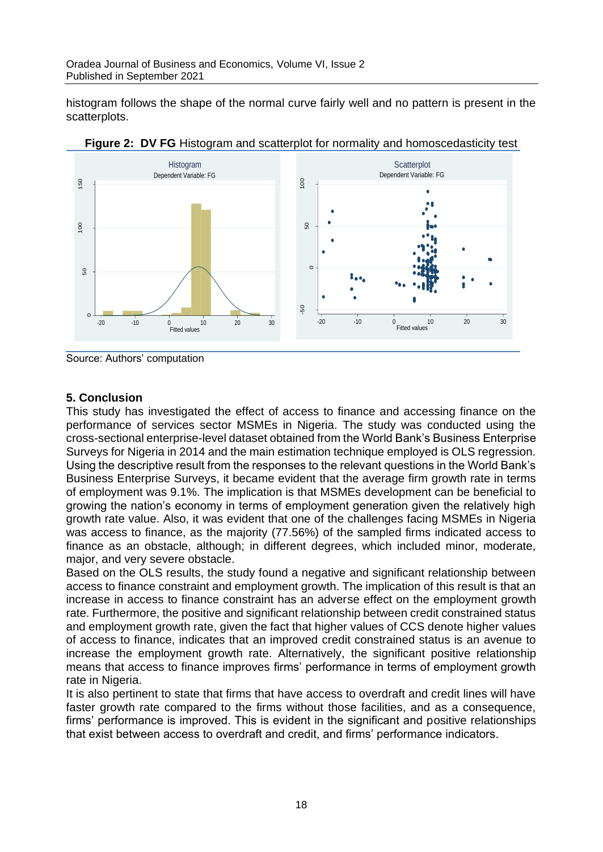histogram follows the shape of the normal curve fairly well and no pattern is present in the scatterplots.



**Figure 2: DV FG** Histogram and scatterplot for normality and homoscedasticity test

Source: Authors' computation

## **5. Conclusion**

This study has investigated the effect of access to finance and accessing finance on the performance of services sector MSMEs in Nigeria. The study was conducted using the cross-sectional enterprise-level dataset obtained from the World Bank's Business Enterprise Surveys for Nigeria in 2014 and the main estimation technique employed is OLS regression. Using the descriptive result from the responses to the relevant questions in the World Bank's Business Enterprise Surveys, it became evident that the average firm growth rate in terms of employment was 9.1%. The implication is that MSMEs development can be beneficial to growing the nation's economy in terms of employment generation given the relatively high growth rate value. Also, it was evident that one of the challenges facing MSMEs in Nigeria was access to finance, as the majority (77.56%) of the sampled firms indicated access to finance as an obstacle, although; in different degrees, which included minor, moderate, major, and very severe obstacle.

Based on the OLS results, the study found a negative and significant relationship between access to finance constraint and employment growth. The implication of this result is that an increase in access to finance constraint has an adverse effect on the employment growth rate. Furthermore, the positive and significant relationship between credit constrained status and employment growth rate, given the fact that higher values of CCS denote higher values of access to finance, indicates that an improved credit constrained status is an avenue to increase the employment growth rate. Alternatively, the significant positive relationship means that access to finance improves firms' performance in terms of employment growth rate in Nigeria.

It is also pertinent to state that firms that have access to overdraft and credit lines will have faster growth rate compared to the firms without those facilities, and as a consequence, firms' performance is improved. This is evident in the significant and positive relationships that exist between access to overdraft and credit, and firms' performance indicators.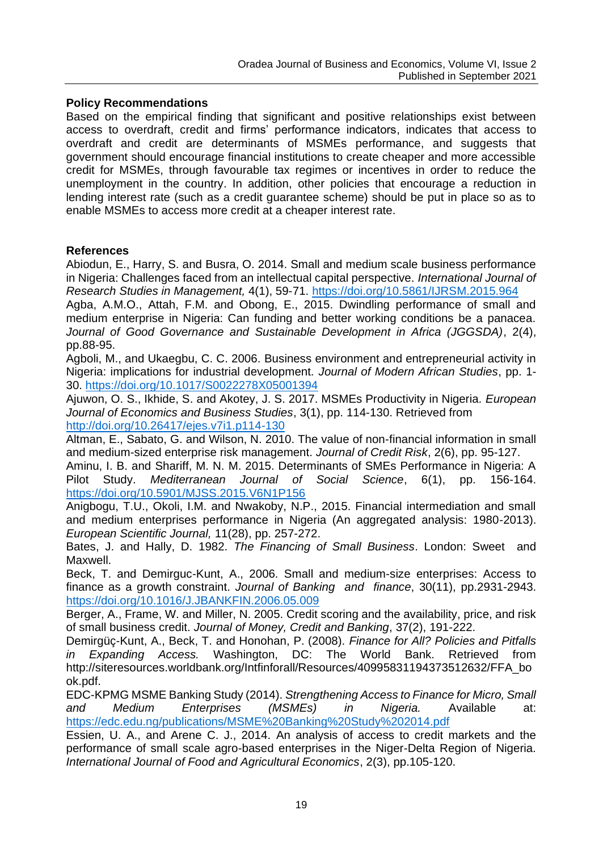#### **Policy Recommendations**

Based on the empirical finding that significant and positive relationships exist between access to overdraft, credit and firms' performance indicators, indicates that access to overdraft and credit are determinants of MSMEs performance, and suggests that government should encourage financial institutions to create cheaper and more accessible credit for MSMEs, through favourable tax regimes or incentives in order to reduce the unemployment in the country. In addition, other policies that encourage a reduction in lending interest rate (such as a credit guarantee scheme) should be put in place so as to enable MSMEs to access more credit at a cheaper interest rate.

#### **References**

Abiodun, E., Harry, S. and Busra, O. 2014. Small and medium scale business performance in Nigeria: Challenges faced from an intellectual capital perspective. *International Journal of Research Studies in Management,* 4(1), 59-71. <https://doi.org/10.5861/IJRSM.2015.964>

Agba, A.M.O., Attah, F.M. and Obong, E., 2015. Dwindling performance of small and medium enterprise in Nigeria: Can funding and better working conditions be a panacea. *Journal of Good Governance and Sustainable Development in Africa (JGGSDA)*, 2(4), pp.88-95.

Agboli, M., and Ukaegbu, C. C. 2006. Business environment and entrepreneurial activity in Nigeria: implications for industrial development. *Journal of Modern African Studies*, pp. 1- 30. <https://doi.org/10.1017/S0022278X05001394>

Ajuwon, O. S., Ikhide, S. and Akotey, J. S. 2017. MSMEs Productivity in Nigeria. *European Journal of Economics and Business Studies*, 3(1), pp. 114-130. Retrieved from <http://doi.org/10.26417/ejes.v7i1.p114-130>

Altman, E., Sabato, G. and Wilson, N. 2010. The value of non-financial information in small and medium-sized enterprise risk management. *Journal of Credit Risk*, 2(6), pp. 95-127.

Aminu, I. B. and Shariff, M. N. M. 2015. Determinants of SMEs Performance in Nigeria: A Pilot Study. *Mediterranean Journal of Social Science*, 6(1), pp. 156-164. <https://doi.org/10.5901/MJSS.2015.V6N1P156>

Anigbogu, T.U., Okoli, I.M. and Nwakoby, N.P., 2015. Financial intermediation and small and medium enterprises performance in Nigeria (An aggregated analysis: 1980-2013). *European Scientific Journal,* 11(28), pp. 257-272.

Bates, J. and Hally, D. 1982. *The Financing of Small Business*. London: Sweet and Maxwell.

Beck, T. and Demirguc-Kunt, A., 2006. Small and medium-size enterprises: Access to finance as a growth constraint. *Journal of Banking and finance*, 30(11), pp.2931-2943. <https://doi.org/10.1016/J.JBANKFIN.2006.05.009>

Berger, A., Frame, W. and Miller, N. 2005. Credit scoring and the availability, price, and risk of small business credit. *Journal of Money, Credit and Banking*, 37(2), 191-222.

Demirgüç-Kunt, A., Beck, T. and Honohan, P. (2008). *Finance for All? Policies and Pitfalls in Expanding Access.* Washington, DC: The World Bank. Retrieved from [http://siteresources.worldbank.org/Intfinforall/Resources/40995831194373512632/FFA\\_bo](http://siteresources.worldbank.org/INTFINFORALL/Resources/40995831194373512632/FFA_book.pdf) [ok.pdf.](http://siteresources.worldbank.org/INTFINFORALL/Resources/40995831194373512632/FFA_book.pdf)

EDC-KPMG MSME Banking Study (2014). *Strengthening Access to Finance for Micro, Small and Medium Enterprises (MSMEs) in Nigeria.* Available at: <https://edc.edu.ng/publications/MSME%20Banking%20Study%202014.pdf>

Essien, U. A., and Arene C. J., 2014. An analysis of access to credit markets and the performance of small scale agro-based enterprises in the Niger-Delta Region of Nigeria. *International Journal of Food and Agricultural Economics*, 2(3), pp.105-120.